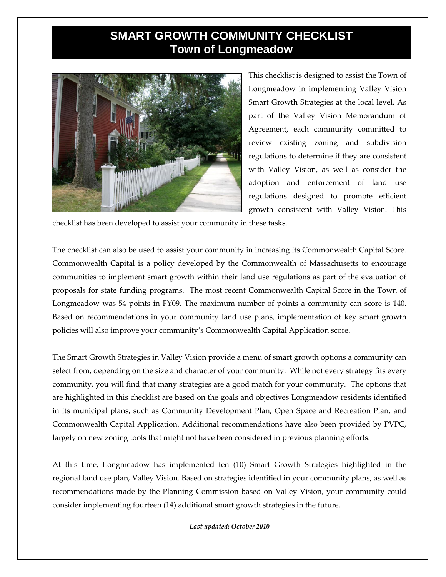## **SMART GROWTH COMMUNITY CHECKLIST Town of Longmeadow**



This checklist is designed to assist the Town of Longmeadow in implementing Valley Vision Smart Growth Strategies at the local level. As part of the Valley Vision Memorandum of Agreement, each community committed to review existing zoning and subdivision regulations to determine if they are consistent with Valley Vision, as well as consider the adoption and enforcement of land use regulations designed to promote efficient growth consistent with Valley Vision. This

checklist has been developed to assist your community in these tasks.

The checklist can also be used to assist your community in increasing its Commonwealth Capital Score. Commonwealth Capital is a policy developed by the Commonwealth of Massachusetts to encourage communities to implement smart growth within their land use regulations as part of the evaluation of proposals for state funding programs. The most recent Commonwealth Capital Score in the Town of Longmeadow was 54 points in FY09. The maximum number of points a community can score is 140. Based on recommendations in your community land use plans, implementation of key smart growth policies will also improve your community's Commonwealth Capital Application score.

The Smart Growth Strategies in Valley Vision provide a menu of smart growth options a community can select from, depending on the size and character of your community. While not every strategy fits every community, you will find that many strategies are a good match for your community. The options that are highlighted in this checklist are based on the goals and objectives Longmeadow residents identified in its municipal plans, such as Community Development Plan, Open Space and Recreation Plan, and Commonwealth Capital Application. Additional recommendations have also been provided by PVPC, largely on new zoning tools that might not have been considered in previous planning efforts.

At this time, Longmeadow has implemented ten (10) Smart Growth Strategies highlighted in the regional land use plan, Valley Vision. Based on strategies identified in your community plans, as well as recommendations made by the Planning Commission based on Valley Vision, your community could consider implementing fourteen (14) additional smart growth strategies in the future.

*Last updated: October 2010*